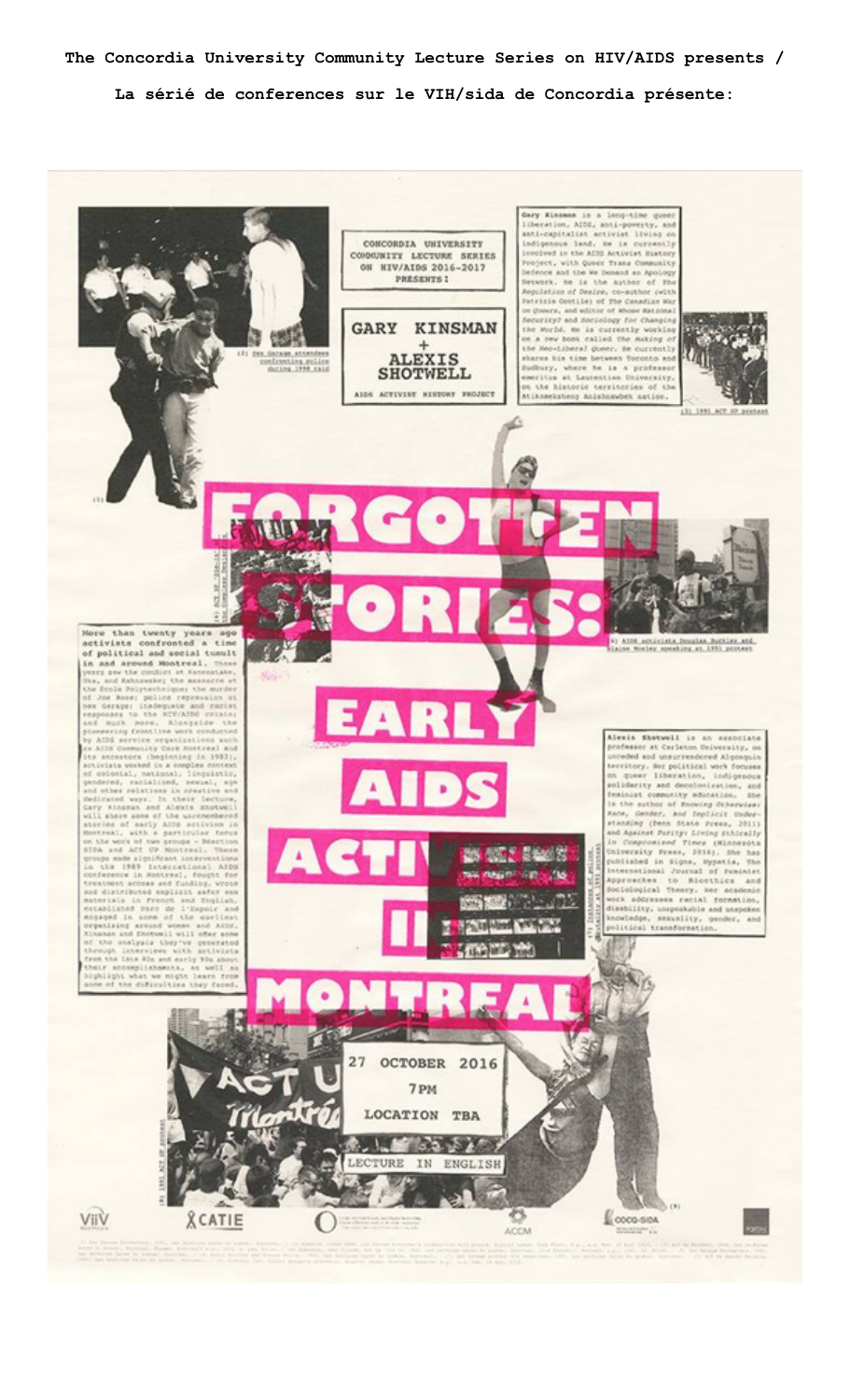**The Concordia University Community Lecture Series on HIV/AIDS presents / La sérié de conferences sur le VIH/sida de Concordia présente:**

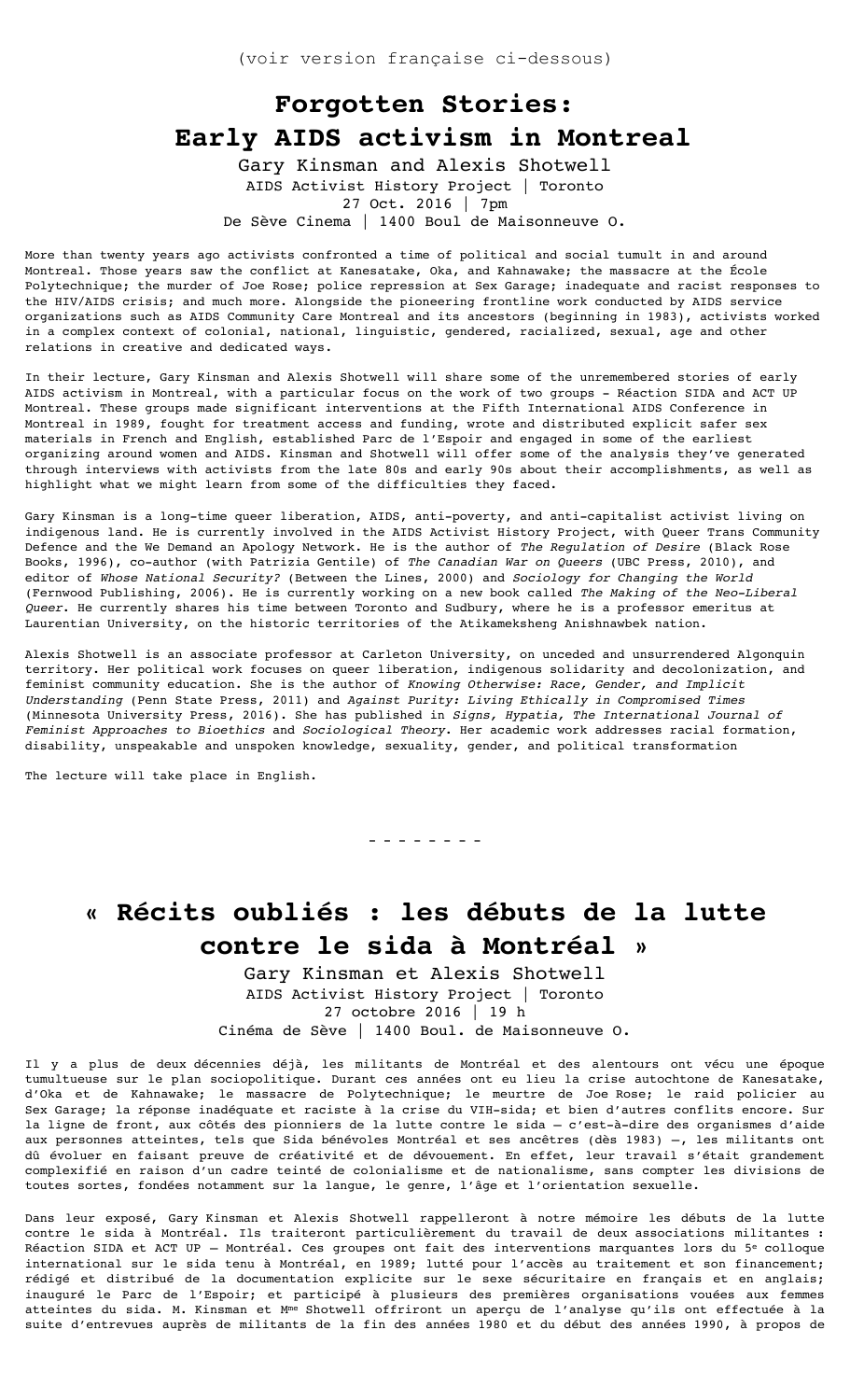## **Forgotten Stories: Early AIDS activism in Montreal**

Gary Kinsman and Alexis Shotwell AIDS Activist History Project | Toronto 27 Oct. 2016 | 7pm De Sève Cinema | 1400 Boul de Maisonneuve O.

More than twenty years ago activists confronted a time of political and social tumult in and around Montreal. Those years saw the conflict at Kanesatake, Oka, and Kahnawake; the massacre at the École Polytechnique; the murder of Joe Rose; police repression at Sex Garage; inadequate and racist responses to the HIV/AIDS crisis; and much more. Alongside the pioneering frontline work conducted by AIDS service organizations such as AIDS Community Care Montreal and its ancestors (beginning in 1983), activists worked in a complex context of colonial, national, linguistic, gendered, racialized, sexual, age and other relations in creative and dedicated ways.

In their lecture, Gary Kinsman and Alexis Shotwell will share some of the unremembered stories of early AIDS activism in Montreal, with a particular focus on the work of two groups - Réaction SIDA and ACT UP Montreal. These groups made significant interventions at the Fifth International AIDS Conference in Montreal in 1989, fought for treatment access and funding, wrote and distributed explicit safer sex materials in French and English, established Parc de l'Espoir and engaged in some of the earliest organizing around women and AIDS. Kinsman and Shotwell will offer some of the analysis they've generated through interviews with activists from the late 80s and early 90s about their accomplishments, as well as highlight what we might learn from some of the difficulties they faced.

Gary Kinsman is a long-time queer liberation, AIDS, anti-poverty, and anti-capitalist activist living on indigenous land. He is currently involved in the AIDS Activist History Project, with Queer Trans Community Defence and the We Demand an Apology Network. He is the author of *The Regulation of Desire* (Black Rose Books, 1996), co-author (with Patrizia Gentile) of *The Canadian War on Queers* (UBC Press, 2010), and editor of *Whose National Security?* (Between the Lines, 2000) and *Sociology for Changing the World*  (Fernwood Publishing, 2006). He is currently working on a new book called *The Making of the Neo-Liberal Queer*. He currently shares his time between Toronto and Sudbury, where he is a professor emeritus at Laurentian University, on the historic territories of the Atikameksheng Anishnawbek nation.

Alexis Shotwell is an associate professor at Carleton University, on unceded and unsurrendered Algonquin territory. Her political work focuses on queer liberation, indigenous solidarity and decolonization, and feminist community education. She is the author of *Knowing Otherwise: Race, Gender, and Implicit Understanding* (Penn State Press, 2011) and *Against Purity: Living Ethically in Compromised Times*  (Minnesota University Press, 2016). She has published in *Signs, Hypatia, The International Journal of Feminist Approaches to Bioethics* and *Sociological Theory*. Her academic work addresses racial formation, disability, unspeakable and unspoken knowledge, sexuality, gender, and political transformation

The lecture will take place in English.

**« Récits oubliés : les débuts de la lutte contre le sida à Montréal »**

- - - - - - - -

Gary Kinsman et Alexis Shotwell AIDS Activist History Project | Toronto 27 octobre 2016 | 19 h Cinéma de Sève | 1400 Boul. de Maisonneuve O.

Il y a plus de deux décennies déjà, les militants de Montréal et des alentours ont vécu une époque tumultueuse sur le plan sociopolitique. Durant ces années ont eu lieu la crise autochtone de Kanesatake, d'Oka et de Kahnawake; le massacre de Polytechnique; le meurtre de Joe Rose; le raid policier au Sex Garage; la réponse inadéquate et raciste à la crise du VIH-sida; et bien d'autres conflits encore. Sur la ligne de front, aux côtés des pionniers de la lutte contre le sida – c'est-à-dire des organismes d'aide aux personnes atteintes, tels que Sida bénévoles Montréal et ses ancêtres (dès 1983) –, les militants ont dû évoluer en faisant preuve de créativité et de dévouement. En effet, leur travail s'était grandement complexifié en raison d'un cadre teinté de colonialisme et de nationalisme, sans compter les divisions de toutes sortes, fondées notamment sur la langue, le genre, l'âge et l'orientation sexuelle.

Dans leur exposé, Gary Kinsman et Alexis Shotwell rappelleront à notre mémoire les débuts de la lutte contre le sida à Montréal. Ils traiteront particulièrement du travail de deux associations militantes : Réaction SIDA et ACT UP - Montréal. Ces groupes ont fait des interventions marquantes lors du 5<sup>e</sup> colloque international sur le sida tenu à Montréal, en 1989; lutté pour l'accès au traitement et son financement; rédigé et distribué de la documentation explicite sur le sexe sécuritaire en français et en anglais; inauguré le Parc de l'Espoir; et participé à plusieurs des premières organisations vouées aux femmes atteintes du sida. M. Kinsman et Mme Shotwell offriront un aperçu de l'analyse qu'ils ont effectuée à la suite d'entrevues auprès de militants de la fin des années 1980 et du début des années 1990, à propos de